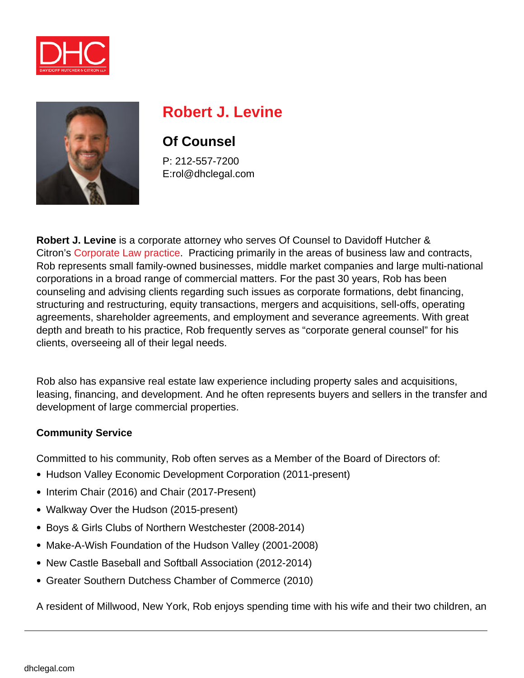



# **Robert J. Levine**

## **Of Counsel**

P: 212-557-7200 E:rol@dhclegal.com

**Robert J. Levine** is a corporate attorney who serves Of Counsel to Davidoff Hutcher & Citron's [Corporate Law practice.](https://dhclegal.com/law-practice-areas/corporate-law/) Practicing primarily in the areas of business law and contracts, Rob represents small family-owned businesses, middle market companies and large multi-national corporations in a broad range of commercial matters. For the past 30 years, Rob has been counseling and advising clients regarding such issues as corporate formations, debt financing, structuring and restructuring, equity transactions, mergers and acquisitions, sell-offs, operating agreements, shareholder agreements, and employment and severance agreements. With great depth and breath to his practice, Rob frequently serves as "corporate general counsel" for his clients, overseeing all of their legal needs.

Rob also has expansive real estate law experience including property sales and acquisitions, leasing, financing, and development. And he often represents buyers and sellers in the transfer and development of large commercial properties.

#### **Community Service**

Committed to his community, Rob often serves as a Member of the Board of Directors of:

- Hudson Valley Economic Development Corporation (2011-present)
- Interim Chair (2016) and Chair (2017-Present)
- Walkway Over the Hudson (2015-present)
- Boys & Girls Clubs of Northern Westchester (2008-2014)
- Make-A-Wish Foundation of the Hudson Valley (2001-2008)
- New Castle Baseball and Softball Association (2012-2014)
- Greater Southern Dutchess Chamber of Commerce (2010)

A resident of Millwood, New York, Rob enjoys spending time with his wife and their two children, an